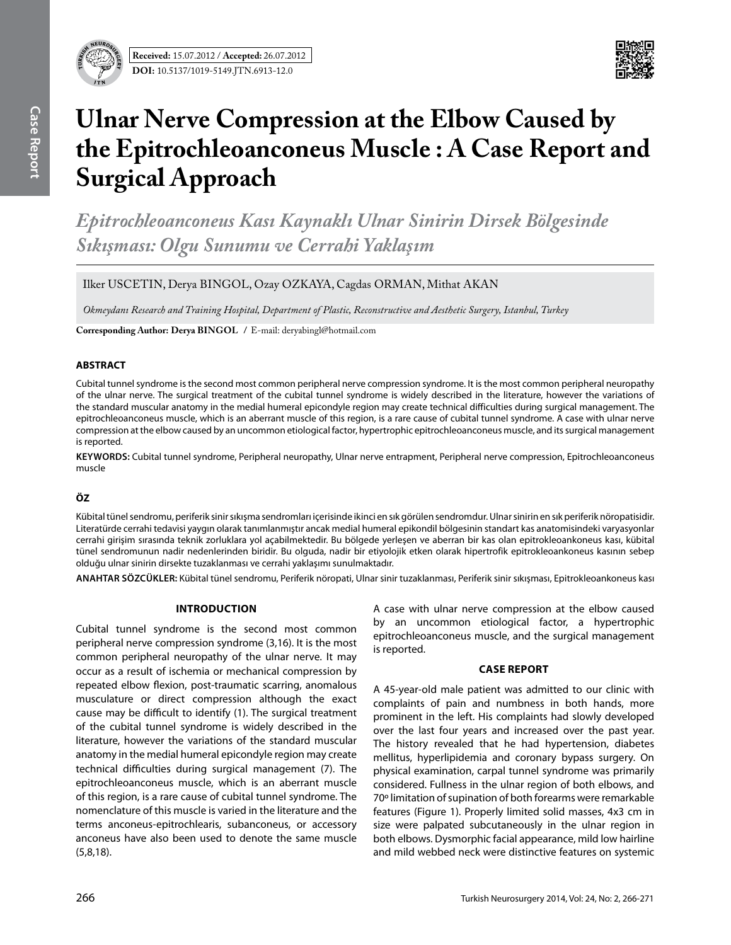



# **Ulnar Nerve Compression at the Elbow Caused by the Epitrochleoanconeus Muscle : A Case Report and Surgical Approach**

*Epitrochleoanconeus Kası Kaynaklı Ulnar Sinirin Dirsek Bölgesinde Sıkışması: Olgu Sunumu ve Cerrahi Yaklaşım*

Ilker USCETIN, Derya BINGOL, Ozay OZKAYA, Cagdas ORMAN, Mithat AKAN

*Okmeydanı Research and Training Hospital, Department of Plastic, Reconstructive and Aesthetic Surgery, Istanbul, Turkey*

**Corresponding Author: Derya BIngol /** E-mail: deryabingl@hotmail.com

## **ABSTRACT**

Cubital tunnel syndrome is the second most common peripheral nerve compression syndrome. It is the most common peripheral neuropathy of the ulnar nerve. The surgical treatment of the cubital tunnel syndrome is widely described in the literature, however the variations of the standard muscular anatomy in the medial humeral epicondyle region may create technical difficulties during surgical management. The epitrochleoanconeus muscle, which is an aberrant muscle of this region, is a rare cause of cubital tunnel syndrome. A case with ulnar nerve compression at the elbow caused by an uncommon etiological factor, hypertrophic epitrochleoanconeus muscle, and its surgical management is reported.

**Keywords:** Cubital tunnel syndrome, Peripheral neuropathy, Ulnar nerve entrapment, Peripheral nerve compression, Epitrochleoanconeus muscle

## **ÖZ**

Kübital tünel sendromu, periferik sinir sıkışma sendromları içerisinde ikinci en sık görülen sendromdur. Ulnar sinirin en sık periferik nöropatisidir. Literatürde cerrahi tedavisi yaygın olarak tanımlanmıştır ancak medial humeral epikondil bölgesinin standart kas anatomisindeki varyasyonlar cerrahi girişim sırasında teknik zorluklara yol açabilmektedir. Bu bölgede yerleşen ve aberran bir kas olan epitrokleoankoneus kası, kübital tünel sendromunun nadir nedenlerinden biridir. Bu olguda, nadir bir etiyolojik etken olarak hipertrofik epitrokleoankoneus kasının sebep olduğu ulnar sinirin dirsekte tuzaklanması ve cerrahi yaklaşımı sunulmaktadır.

**ANAHTAR SÖZCÜKLER:** Kübital tünel sendromu, Periferik nöropati, Ulnar sinir tuzaklanması, Periferik sinir sıkışması, Epitrokleoankoneus kası

### **Introduction**

Cubital tunnel syndrome is the second most common peripheral nerve compression syndrome (3,16). It is the most common peripheral neuropathy of the ulnar nerve. It may occur as a result of ischemia or mechanical compression by repeated elbow flexion, post-traumatic scarring, anomalous musculature or direct compression although the exact cause may be difficult to identify (1). The surgical treatment of the cubital tunnel syndrome is widely described in the literature, however the variations of the standard muscular anatomy in the medial humeral epicondyle region may create technical difficulties during surgical management (7). The epitrochleoanconeus muscle, which is an aberrant muscle of this region, is a rare cause of cubital tunnel syndrome. The nomenclature of this muscle is varied in the literature and the terms anconeus-epitrochlearis, subanconeus, or accessory anconeus have also been used to denote the same muscle (5,8,18).

A case with ulnar nerve compression at the elbow caused by an uncommon etiological factor, a hypertrophic epitrochleoanconeus muscle, and the surgical management is reported.

### **Case Report**

A 45-year-old male patient was admitted to our clinic with complaints of pain and numbness in both hands, more prominent in the left. His complaints had slowly developed over the last four years and increased over the past year. The history revealed that he had hypertension, diabetes mellitus, hyperlipidemia and coronary bypass surgery. On physical examination, carpal tunnel syndrome was primarily considered. Fullness in the ulnar region of both elbows, and 70º limitation of supination of both forearms were remarkable features (Figure 1). Properly limited solid masses, 4x3 cm in size were palpated subcutaneously in the ulnar region in both elbows. Dysmorphic facial appearance, mild low hairline and mild webbed neck were distinctive features on systemic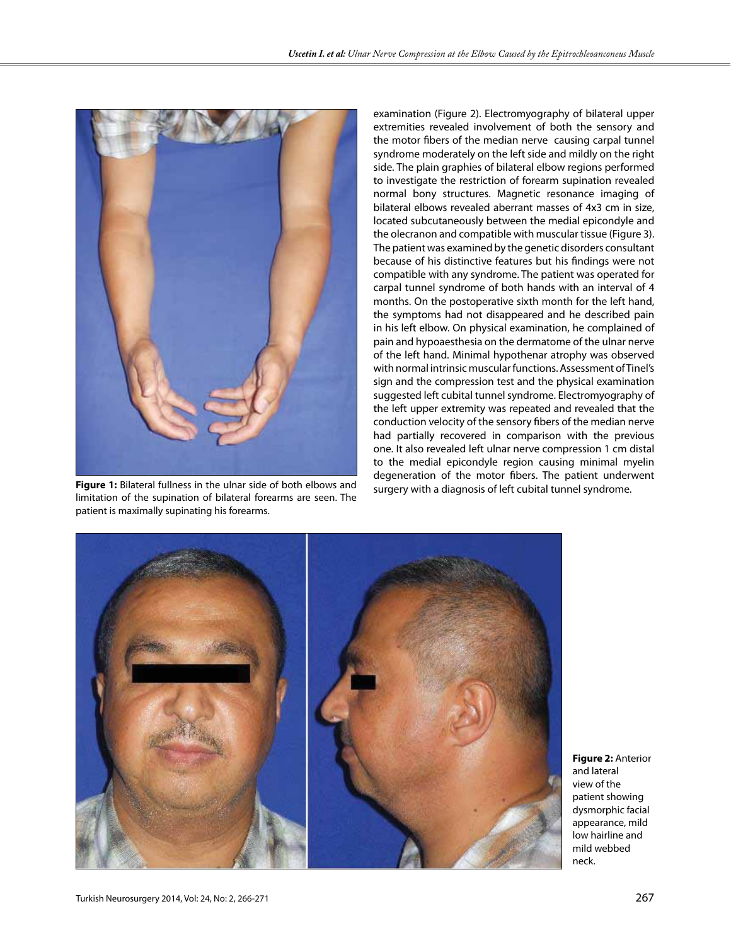

surgery with a diagnosis of left cubital tunnel syndrome. **Figure 1:** Bilateral fullness in the ulnar side of both elbows and limitation of the supination of bilateral forearms are seen. The patient is maximally supinating his forearms.

examination (Figure 2). Electromyography of bilateral upper extremities revealed involvement of both the sensory and the motor fibers of the median nerve causing carpal tunnel syndrome moderately on the left side and mildly on the right side. The plain graphies of bilateral elbow regions performed to investigate the restriction of forearm supination revealed normal bony structures. Magnetic resonance imaging of bilateral elbows revealed aberrant masses of 4x3 cm in size, located subcutaneously between the medial epicondyle and the olecranon and compatible with muscular tissue (Figure 3). The patient was examined by the genetic disorders consultant because of his distinctive features but his findings were not compatible with any syndrome. The patient was operated for carpal tunnel syndrome of both hands with an interval of 4 months. On the postoperative sixth month for the left hand, the symptoms had not disappeared and he described pain in his left elbow. On physical examination, he complained of pain and hypoaesthesia on the dermatome of the ulnar nerve of the left hand. Minimal hypothenar atrophy was observed with normal intrinsic muscular functions. Assessment of Tinel's sign and the compression test and the physical examination suggested left cubital tunnel syndrome. Electromyography of the left upper extremity was repeated and revealed that the conduction velocity of the sensory fibers of the median nerve had partially recovered in comparison with the previous one. It also revealed left ulnar nerve compression 1 cm distal to the medial epicondyle region causing minimal myelin degeneration of the motor fibers. The patient underwent



**Figure 2:** Anterior and lateral view of the patient showing dysmorphic facial appearance, mild low hairline and mild webbed neck.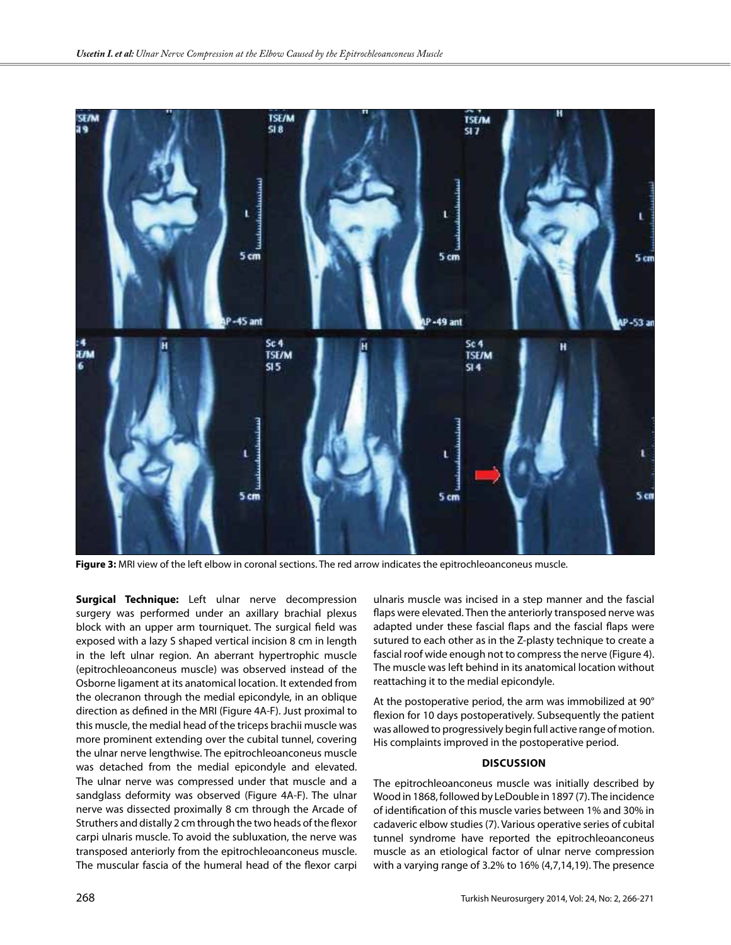

**Figure 3:** MRI view of the left elbow in coronal sections. The red arrow indicates the epitrochleoanconeus muscle.

**Surgical Technique:** Left ulnar nerve decompression surgery was performed under an axillary brachial plexus block with an upper arm tourniquet. The surgical field was exposed with a lazy S shaped vertical incision 8 cm in length in the left ulnar region. An aberrant hypertrophic muscle (epitrochleoanconeus muscle) was observed instead of the Osborne ligament at its anatomical location. It extended from the olecranon through the medial epicondyle, in an oblique direction as defined in the MRI (Figure 4A-F). Just proximal to this muscle, the medial head of the triceps brachii muscle was more prominent extending over the cubital tunnel, covering the ulnar nerve lengthwise. The epitrochleoanconeus muscle was detached from the medial epicondyle and elevated. The ulnar nerve was compressed under that muscle and a sandglass deformity was observed (Figure 4A-F). The ulnar nerve was dissected proximally 8 cm through the Arcade of Struthers and distally 2 cm through the two heads of the flexor carpi ulnaris muscle. To avoid the subluxation, the nerve was transposed anteriorly from the epitrochleoanconeus muscle. The muscular fascia of the humeral head of the flexor carpi ulnaris muscle was incised in a step manner and the fascial flaps were elevated. Then the anteriorly transposed nerve was adapted under these fascial flaps and the fascial flaps were sutured to each other as in the Z-plasty technique to create a fascial roof wide enough not to compress the nerve (Figure 4). The muscle was left behind in its anatomical location without reattaching it to the medial epicondyle.

At the postoperative period, the arm was immobilized at 90° flexion for 10 days postoperatively. Subsequently the patient was allowed to progressively begin full active range of motion. His complaints improved in the postoperative period.

#### **Discussion**

The epitrochleoanconeus muscle was initially described by Wood in 1868, followed by LeDouble in 1897 (7). The incidence of identification of this muscle varies between 1% and 30% in cadaveric elbow studies (7). Various operative series of cubital tunnel syndrome have reported the epitrochleoanconeus muscle as an etiological factor of ulnar nerve compression with a varying range of 3.2% to 16% (4,7,14,19). The presence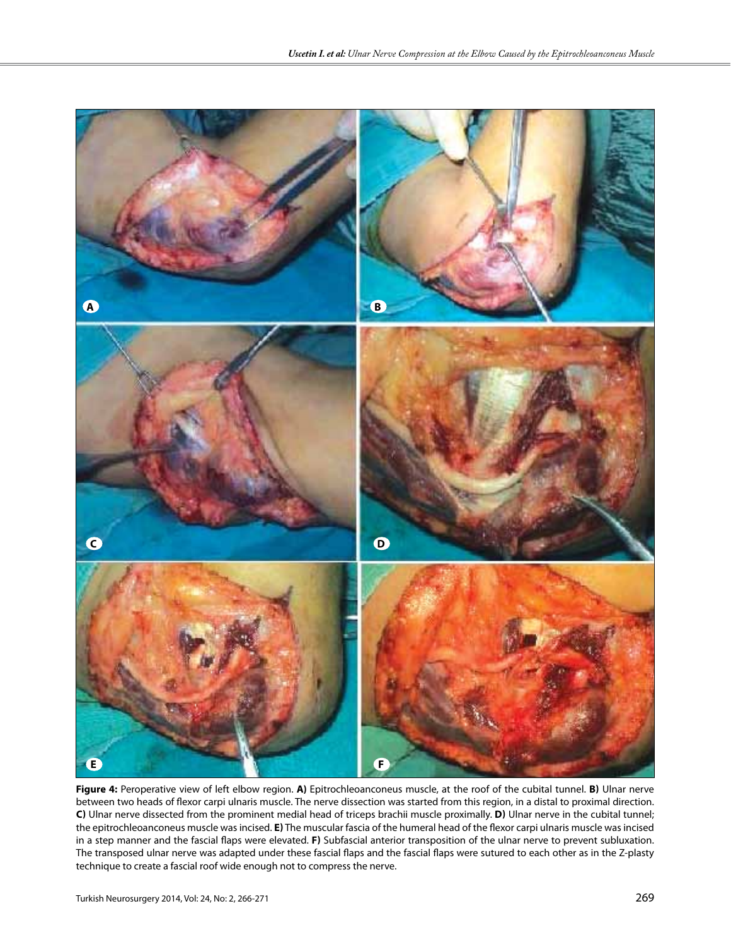

**Figure 4:** Peroperative view of left elbow region. **a)** Epitrochleoanconeus muscle, at the roof of the cubital tunnel. **b)** Ulnar nerve between two heads of flexor carpi ulnaris muscle. The nerve dissection was started from this region, in a distal to proximal direction. **c)** Ulnar nerve dissected from the prominent medial head of triceps brachii muscle proximally. **d)** Ulnar nerve in the cubital tunnel; the epitrochleoanconeus muscle was incised. **e)** The muscular fascia of the humeral head of the flexor carpi ulnaris muscle was incised in a step manner and the fascial flaps were elevated. **f)** Subfascial anterior transposition of the ulnar nerve to prevent subluxation. The transposed ulnar nerve was adapted under these fascial flaps and the fascial flaps were sutured to each other as in the Z-plasty technique to create a fascial roof wide enough not to compress the nerve.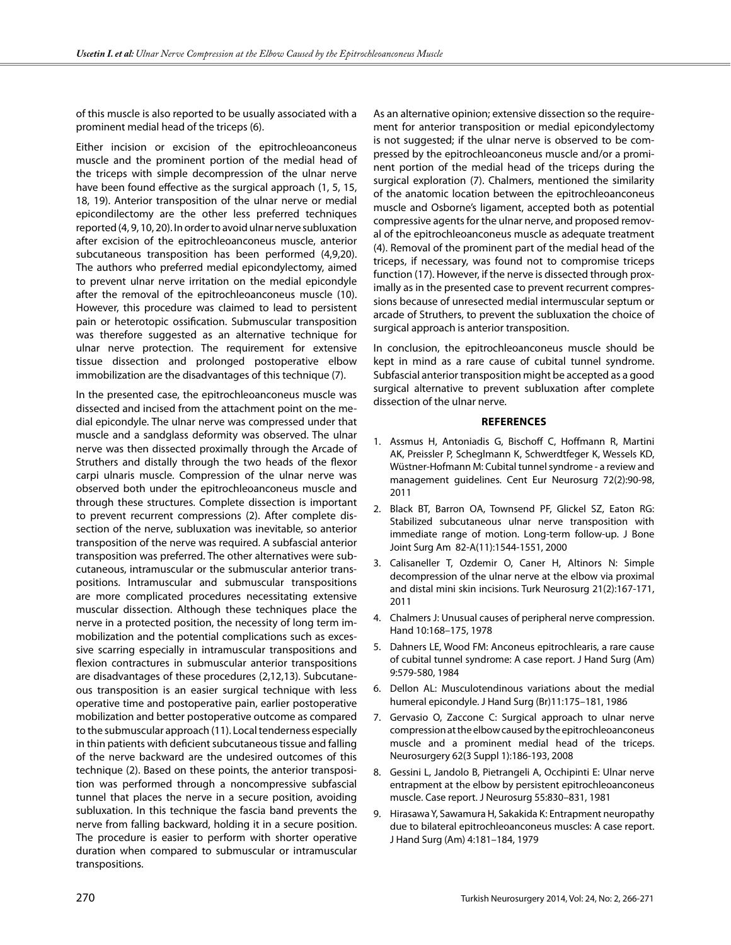of this muscle is also reported to be usually associated with a prominent medial head of the triceps (6).

Either incision or excision of the epitrochleoanconeus muscle and the prominent portion of the medial head of the triceps with simple decompression of the ulnar nerve have been found effective as the surgical approach (1, 5, 15, 18, 19). Anterior transposition of the ulnar nerve or medial epicondilectomy are the other less preferred techniques reported (4, 9, 10, 20). In order to avoid ulnar nerve subluxation after excision of the epitrochleoanconeus muscle, anterior subcutaneous transposition has been performed (4,9,20). The authors who preferred medial epicondylectomy, aimed to prevent ulnar nerve irritation on the medial epicondyle after the removal of the epitrochleoanconeus muscle (10). However, this procedure was claimed to lead to persistent pain or heterotopic ossification. Submuscular transposition was therefore suggested as an alternative technique for ulnar nerve protection. The requirement for extensive tissue dissection and prolonged postoperative elbow immobilization are the disadvantages of this technique (7).

In the presented case, the epitrochleoanconeus muscle was dissected and incised from the attachment point on the medial epicondyle. The ulnar nerve was compressed under that muscle and a sandglass deformity was observed. The ulnar nerve was then dissected proximally through the Arcade of Struthers and distally through the two heads of the flexor carpi ulnaris muscle. Compression of the ulnar nerve was observed both under the epitrochleoanconeus muscle and through these structures. Complete dissection is important to prevent recurrent compressions (2). After complete dissection of the nerve, subluxation was inevitable, so anterior transposition of the nerve was required. A subfascial anterior transposition was preferred. The other alternatives were subcutaneous, intramuscular or the submuscular anterior transpositions. Intramuscular and submuscular transpositions are more complicated procedures necessitating extensive muscular dissection. Although these techniques place the nerve in a protected position, the necessity of long term immobilization and the potential complications such as excessive scarring especially in intramuscular transpositions and flexion contractures in submuscular anterior transpositions are disadvantages of these procedures (2,12,13). Subcutaneous transposition is an easier surgical technique with less operative time and postoperative pain, earlier postoperative mobilization and better postoperative outcome as compared to the submuscular approach (11). Local tenderness especially in thin patients with deficient subcutaneous tissue and falling of the nerve backward are the undesired outcomes of this technique (2). Based on these points, the anterior transposition was performed through a noncompressive subfascial tunnel that places the nerve in a secure position, avoiding subluxation. In this technique the fascia band prevents the nerve from falling backward, holding it in a secure position. The procedure is easier to perform with shorter operative duration when compared to submuscular or intramuscular transpositions.

As an alternative opinion; extensive dissection so the requirement for anterior transposition or medial epicondylectomy is not suggested; if the ulnar nerve is observed to be compressed by the epitrochleoanconeus muscle and/or a prominent portion of the medial head of the triceps during the surgical exploration (7). Chalmers, mentioned the similarity of the anatomic location between the epitrochleoanconeus muscle and Osborne's ligament, accepted both as potential compressive agents for the ulnar nerve, and proposed removal of the epitrochleoanconeus muscle as adequate treatment (4). Removal of the prominent part of the medial head of the triceps, if necessary, was found not to compromise triceps function (17). However, if the nerve is dissected through proximally as in the presented case to prevent recurrent compressions because of unresected medial intermuscular septum or arcade of Struthers, to prevent the subluxation the choice of surgical approach is anterior transposition.

In conclusion, the epitrochleoanconeus muscle should be kept in mind as a rare cause of cubital tunnel syndrome. Subfascial anterior transposition might be accepted as a good surgical alternative to prevent subluxation after complete dissection of the ulnar nerve.

#### **References**

- 1. Assmus H, Antoniadis G, Bischoff C, Hoffmann R, Martini AK, Preissler P, Scheglmann K, Schwerdtfeger K, Wessels KD, Wüstner-Hofmann M: Cubital tunnel syndrome - a review and management guidelines. Cent Eur Neurosurg 72(2):90-98, 2011
- 2. Black BT, Barron OA, Townsend PF, Glickel SZ, Eaton RG: Stabilized subcutaneous ulnar nerve transposition with immediate range of motion. Long-term follow-up. J Bone Joint Surg Am 82-A(11):1544-1551, 2000
- 3. Calisaneller T, Ozdemir O, Caner H, Altinors N: Simple decompression of the ulnar nerve at the elbow via proximal and distal mini skin incisions. Turk Neurosurg 21(2):167-171, 2011
- 4. Chalmers J: Unusual causes of peripheral nerve compression. Hand 10:168–175, 1978
- 5. Dahners LE, Wood FM: Anconeus epitrochlearis, a rare cause of cubital tunnel syndrome: A case report. J Hand Surg (Am) 9:579-580, 1984
- 6. Dellon AL: Musculotendinous variations about the medial humeral epicondyle. J Hand Surg (Br)11:175–181, 1986
- 7. Gervasio O, Zaccone C: Surgical approach to ulnar nerve compression at the elbow caused by the epitrochleoanconeus muscle and a prominent medial head of the triceps. Neurosurgery 62(3 Suppl 1):186-193, 2008
- 8. Gessini L, Jandolo B, Pietrangeli A, Occhipinti E: Ulnar nerve entrapment at the elbow by persistent epitrochleoanconeus muscle. Case report. J Neurosurg 55:830–831, 1981
- 9. Hirasawa Y, Sawamura H, Sakakida K: Entrapment neuropathy due to bilateral epitrochleoanconeus muscles: A case report. J Hand Surg (Am) 4:181–184, 1979